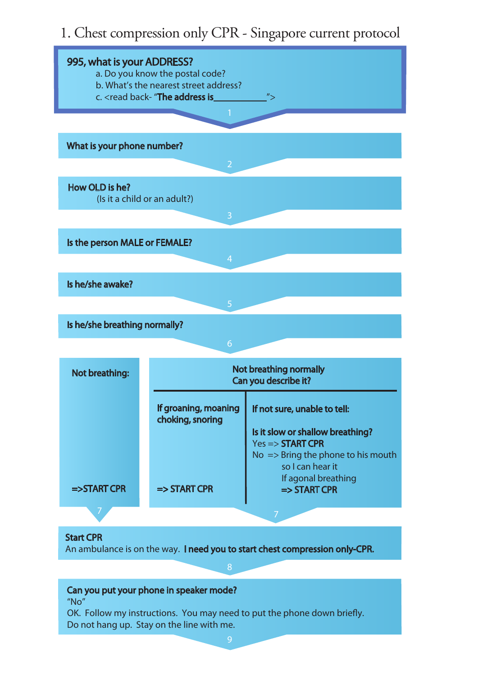## 1. Chest compression only CPR - Singapore current protocol